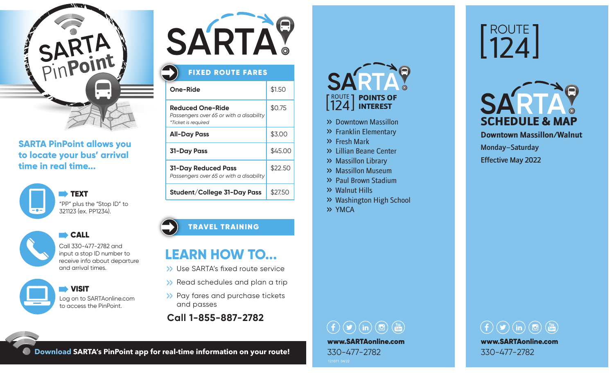

#### **SARTA PinPoint allows you to locate your bus' arrival time in real time...**





**CALL** Call 330-477-2782 and

input a stop ID number to receive info about departure and arrival times.

 VISIT Log on to SARTAonline.com to access the PinPoint.



### **One-Ride** \$1.50 **Reduced One-Ride** \$0.75 *Passengers over 65 or with a disability \*Ticket is required* FIXED ROUTE FARES

| All-Day Pass                                                   | \$3.00  |
|----------------------------------------------------------------|---------|
| 31-Day Pass                                                    | \$45.00 |
| 31-Day Reduced Pass<br>Passengers over 65 or with a disability | \$22.50 |
| Student/College 31-Day Pass                                    | \$27.50 |

#### TRAVEL TRAINING

### **LEARN HOW TO...**

- >> Use SARTA's fixed route service
- >> Read schedules and plan a trip
- >> Pay fares and purchase tickets and passes
- **Call 1-855-887-2782**

## ROUTE 124 INTERESTPOINTS OF

- >> Downtown Massillon
- >> Franklin Elementary
- >> Fresh Mark
- >> Lillian Beane Center
- >> Massillon Library
- >> Massillon Museum
- >> Paul Brown Stadium
- >> Walnut Hills
- >> Washington High School
- >> YMCA

 $\left(\begin{array}{ccc} 0 & \text{(m)} \\ 0 & \text{(m)} \end{array}\right)$ www.SARTAonline.com 330-477-2782

# ROUTE 124



**Downtown Massillon/Walnut** 

Monday–Saturday

Effective May 2022



**Download SARTA's PinPoint app for real-time information on your route!**